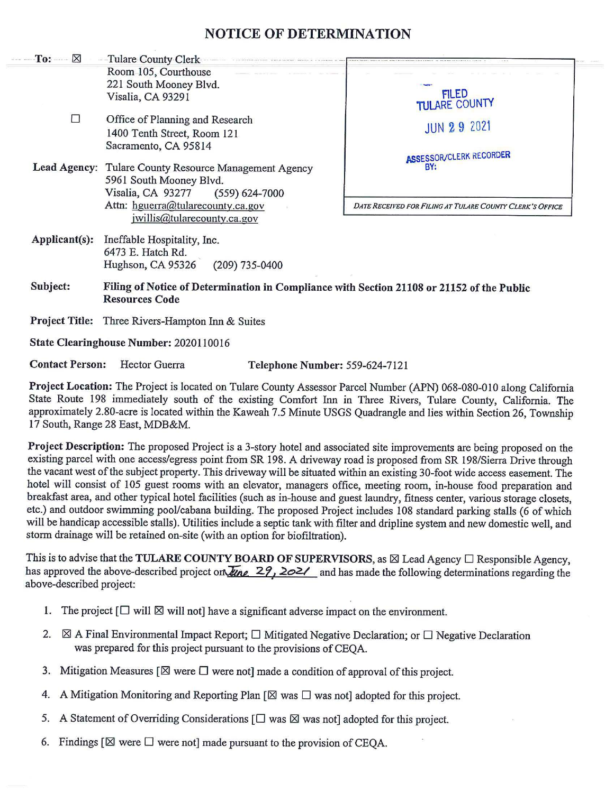## **NOTICE OF DETERMINATION**

| $To: \mathbb{X}$      | -Tulare County Clerk                                                                      |                                                          |  |
|-----------------------|-------------------------------------------------------------------------------------------|----------------------------------------------------------|--|
|                       | Room 105, Courthouse                                                                      |                                                          |  |
|                       | 221 South Mooney Blvd.                                                                    |                                                          |  |
|                       | Visalia, CA 93291                                                                         | FILED<br>TULARE COUNTY                                   |  |
| П                     | Office of Planning and Research                                                           |                                                          |  |
|                       | 1400 Tenth Street, Room 121                                                               | <b>JUN 29 2021</b>                                       |  |
|                       | Sacramento, CA 95814                                                                      |                                                          |  |
|                       |                                                                                           | <b>ASSESSOR/CLERK RECORDER</b>                           |  |
|                       | Lead Agency: Tulare County Resource Management Agency                                     | BY:                                                      |  |
|                       | 5961 South Mooney Blvd.                                                                   |                                                          |  |
|                       | Visalia, CA 93277<br>$(559) 624 - 7000$                                                   |                                                          |  |
|                       | Attn: hguerra@tularecounty.ca.gov                                                         | DATE RECEIVED FOR FILING AT TULARE COUNTY CLERK'S OFFICE |  |
|                       | jwillis@tularecounty.ca.gov                                                               |                                                          |  |
| Applicant(s):         | Ineffable Hospitality, Inc.                                                               |                                                          |  |
|                       | 6473 E. Hatch Rd.                                                                         |                                                          |  |
|                       | Hughson, CA 95326<br>$(209)$ 735-0400                                                     |                                                          |  |
| Subject:              | Filing of Notice of Determination in Compliance with Section 21108 or 21152 of the Public |                                                          |  |
|                       | <b>Resources Code</b>                                                                     |                                                          |  |
| <b>Project Title:</b> | Three Rivers-Hampton Inn & Suites                                                         |                                                          |  |
|                       |                                                                                           |                                                          |  |

**State Clearinghouse Number:** 2020110016

**Contact Person:** Hector Guerra **Telephone Number:** 559-624-7121

**Project Location:** The Project is located on Tulare County Assessor Parcel Number (APN) 068-080-010 along California State Route 198 immediately south of the existing Comfort Inn in Three Rivers, Tulare County, California. The approximately 2.80-acre is located within the Kaweah 7.5 Minute USGS Quadrangle and lies within Section 26, Township 17 South, Range 28 East, MDB&M.

**Project Description:** The proposed Project is a 3-story hotel and associated site improvements are being proposed on the existing parcel with one access/egress point from SR 198. A driveway road is proposed from SR 198/Sierra Drive through the vacant west of the subject property. This driveway will be situated within an existing 30-foot wide access easement. The hotel will consist of 105 guest rooms with an elevator, managers office, meeting room, in-house food preparation and breakfast area, and other typical hotel facilities (such as in-house and guest laundry, fitness center, various storage closets, etc.) and outdoor swimming pool/cabana building. The proposed Project includes 108 standard parking stalls (6 of which will be handicap accessible stalls). Utilities include a septic tank with filter and dripline system and new domestic well, and storm drainage will be retained on-site (with an option for biofiltration).

This is to advise that the **TULARE COUNTY BOARD OF SUPERVISORS**, as ⊠ Lead Agency □ Responsible Agency, has approved the above-described project on *line* 29, 2021 and has made the following determinations regarding the above-described project: •

- 1. The project  $[\Box \text{ will } \boxtimes \text{ will not}]$  have a significant adverse impact on the environment.
- 2.  $\boxtimes$  A Final Environmental Impact Report;  $\Box$  Mitigated Negative Declaration; or  $\Box$  Negative Declaration was prepared for this project pursuant to the provisions of CEQA.
- 3. Mitigation Measures  $[\boxtimes]$  were  $\square$  were not] made a condition of approval of this project.
- 4. A Mitigation Monitoring and Reporting Plan  $[\boxtimes]$  was  $\square$  was not] adopted for this project.
- 5. A Statement of Overriding Considerations  $[\Box$  was  $\boxtimes$  was not] adopted for this project.
- 6. Findings  $[\boxtimes]$  were  $\square$  were not] made pursuant to the provision of CEQA.